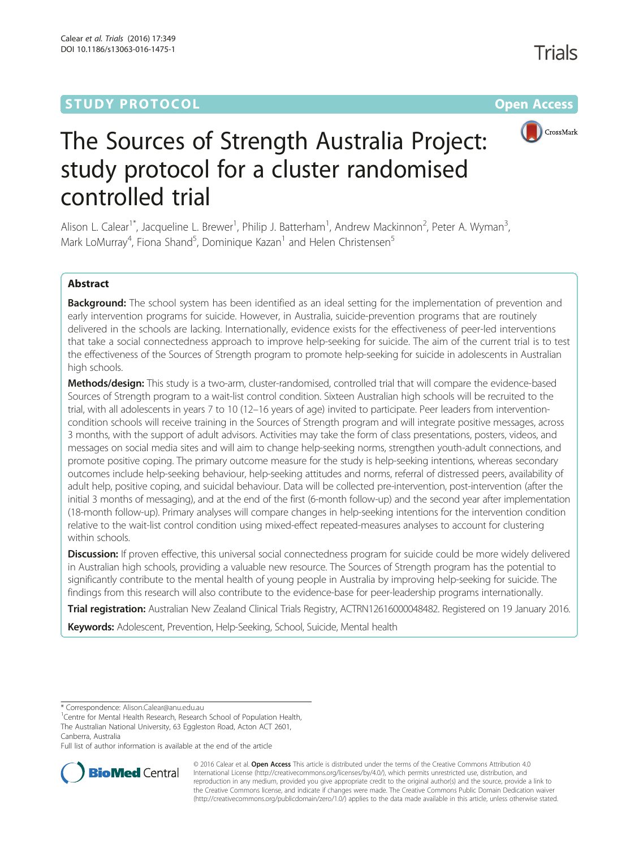# **STUDY PROTOCOL CONSUMING THE RESERVE ACCESS**



# The Sources of Strength Australia Project: study protocol for a cluster randomised controlled trial

Alison L. Calear<sup>1\*</sup>, Jacqueline L. Brewer<sup>1</sup>, Philip J. Batterham<sup>1</sup>, Andrew Mackinnon<sup>2</sup>, Peter A. Wyman<sup>3</sup> , Mark LoMurray<sup>4</sup>, Fiona Shand<sup>5</sup>, Dominique Kazan<sup>1</sup> and Helen Christensen<sup>5</sup>

# Abstract

Background: The school system has been identified as an ideal setting for the implementation of prevention and early intervention programs for suicide. However, in Australia, suicide-prevention programs that are routinely delivered in the schools are lacking. Internationally, evidence exists for the effectiveness of peer-led interventions that take a social connectedness approach to improve help-seeking for suicide. The aim of the current trial is to test the effectiveness of the Sources of Strength program to promote help-seeking for suicide in adolescents in Australian high schools.

Methods/design: This study is a two-arm, cluster-randomised, controlled trial that will compare the evidence-based Sources of Strength program to a wait-list control condition. Sixteen Australian high schools will be recruited to the trial, with all adolescents in years 7 to 10 (12–16 years of age) invited to participate. Peer leaders from interventioncondition schools will receive training in the Sources of Strength program and will integrate positive messages, across 3 months, with the support of adult advisors. Activities may take the form of class presentations, posters, videos, and messages on social media sites and will aim to change help-seeking norms, strengthen youth-adult connections, and promote positive coping. The primary outcome measure for the study is help-seeking intentions, whereas secondary outcomes include help-seeking behaviour, help-seeking attitudes and norms, referral of distressed peers, availability of adult help, positive coping, and suicidal behaviour. Data will be collected pre-intervention, post-intervention (after the initial 3 months of messaging), and at the end of the first (6-month follow-up) and the second year after implementation (18-month follow-up). Primary analyses will compare changes in help-seeking intentions for the intervention condition relative to the wait-list control condition using mixed-effect repeated-measures analyses to account for clustering within schools.

Discussion: If proven effective, this universal social connectedness program for suicide could be more widely delivered in Australian high schools, providing a valuable new resource. The Sources of Strength program has the potential to significantly contribute to the mental health of young people in Australia by improving help-seeking for suicide. The findings from this research will also contribute to the evidence-base for peer-leadership programs internationally.

Trial registration: Australian New Zealand Clinical Trials Registry, [ACTRN12616000048482](http://www.anzctr.org.au/TrialSearch.aspx?searchTxt=ACTRN12616000048482&isBasic=True). Registered on 19 January 2016.

Keywords: Adolescent, Prevention, Help-Seeking, School, Suicide, Mental health

\* Correspondence: [Alison.Calear@anu.edu.au](mailto:Alison.Calear@anu.edu.au) <sup>1</sup>

<sup>1</sup> Centre for Mental Health Research, Research School of Population Health, The Australian National University, 63 Eggleston Road, Acton ACT 2601, Canberra, Australia

Full list of author information is available at the end of the article



© 2016 Calear et al. Open Access This article is distributed under the terms of the Creative Commons Attribution 4.0 International License [\(http://creativecommons.org/licenses/by/4.0/](http://creativecommons.org/licenses/by/4.0/)), which permits unrestricted use, distribution, and reproduction in any medium, provided you give appropriate credit to the original author(s) and the source, provide a link to the Creative Commons license, and indicate if changes were made. The Creative Commons Public Domain Dedication waiver [\(http://creativecommons.org/publicdomain/zero/1.0/](http://creativecommons.org/publicdomain/zero/1.0/)) applies to the data made available in this article, unless otherwise stated.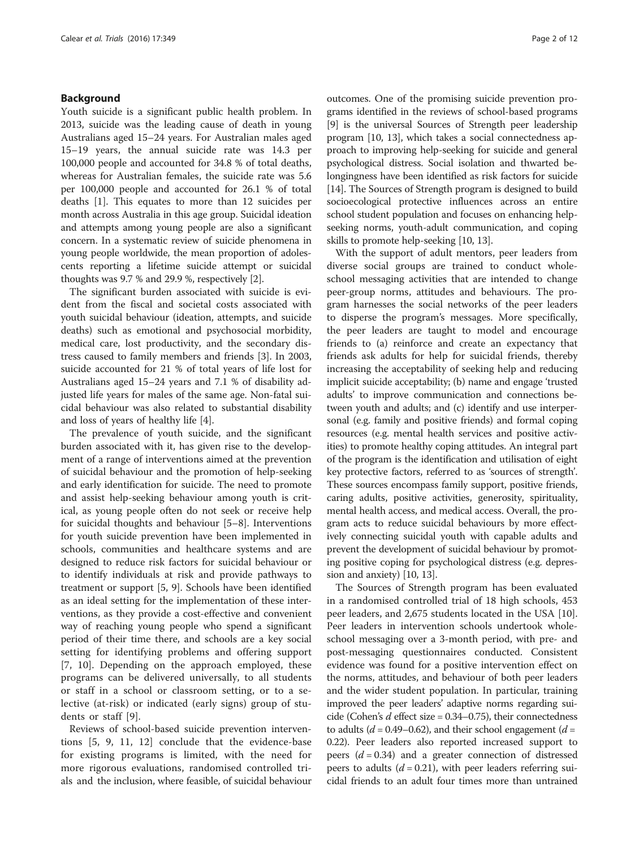#### Background

Youth suicide is a significant public health problem. In 2013, suicide was the leading cause of death in young Australians aged 15–24 years. For Australian males aged 15–19 years, the annual suicide rate was 14.3 per 100,000 people and accounted for 34.8 % of total deaths, whereas for Australian females, the suicide rate was 5.6 per 100,000 people and accounted for 26.1 % of total deaths [[1\]](#page-10-0). This equates to more than 12 suicides per month across Australia in this age group. Suicidal ideation and attempts among young people are also a significant concern. In a systematic review of suicide phenomena in young people worldwide, the mean proportion of adolescents reporting a lifetime suicide attempt or suicidal thoughts was 9.7 % and 29.9 %, respectively [\[2\]](#page-11-0).

The significant burden associated with suicide is evident from the fiscal and societal costs associated with youth suicidal behaviour (ideation, attempts, and suicide deaths) such as emotional and psychosocial morbidity, medical care, lost productivity, and the secondary distress caused to family members and friends [\[3](#page-11-0)]. In 2003, suicide accounted for 21 % of total years of life lost for Australians aged 15–24 years and 7.1 % of disability adjusted life years for males of the same age. Non-fatal suicidal behaviour was also related to substantial disability and loss of years of healthy life [\[4](#page-11-0)].

The prevalence of youth suicide, and the significant burden associated with it, has given rise to the development of a range of interventions aimed at the prevention of suicidal behaviour and the promotion of help-seeking and early identification for suicide. The need to promote and assist help-seeking behaviour among youth is critical, as young people often do not seek or receive help for suicidal thoughts and behaviour [\[5](#page-11-0)–[8](#page-11-0)]. Interventions for youth suicide prevention have been implemented in schools, communities and healthcare systems and are designed to reduce risk factors for suicidal behaviour or to identify individuals at risk and provide pathways to treatment or support [[5, 9\]](#page-11-0). Schools have been identified as an ideal setting for the implementation of these interventions, as they provide a cost-effective and convenient way of reaching young people who spend a significant period of their time there, and schools are a key social setting for identifying problems and offering support [[7, 10](#page-11-0)]. Depending on the approach employed, these programs can be delivered universally, to all students or staff in a school or classroom setting, or to a selective (at-risk) or indicated (early signs) group of students or staff [[9\]](#page-11-0).

Reviews of school-based suicide prevention interventions [[5, 9, 11, 12\]](#page-11-0) conclude that the evidence-base for existing programs is limited, with the need for more rigorous evaluations, randomised controlled trials and the inclusion, where feasible, of suicidal behaviour outcomes. One of the promising suicide prevention programs identified in the reviews of school-based programs [[9\]](#page-11-0) is the universal Sources of Strength peer leadership program [[10](#page-11-0), [13](#page-11-0)], which takes a social connectedness approach to improving help-seeking for suicide and general psychological distress. Social isolation and thwarted belongingness have been identified as risk factors for suicide [[14](#page-11-0)]. The Sources of Strength program is designed to build socioecological protective influences across an entire school student population and focuses on enhancing helpseeking norms, youth-adult communication, and coping skills to promote help-seeking [\[10](#page-11-0), [13](#page-11-0)].

With the support of adult mentors, peer leaders from diverse social groups are trained to conduct wholeschool messaging activities that are intended to change peer-group norms, attitudes and behaviours. The program harnesses the social networks of the peer leaders to disperse the program's messages. More specifically, the peer leaders are taught to model and encourage friends to (a) reinforce and create an expectancy that friends ask adults for help for suicidal friends, thereby increasing the acceptability of seeking help and reducing implicit suicide acceptability; (b) name and engage 'trusted adults' to improve communication and connections between youth and adults; and (c) identify and use interpersonal (e.g. family and positive friends) and formal coping resources (e.g. mental health services and positive activities) to promote healthy coping attitudes. An integral part of the program is the identification and utilisation of eight key protective factors, referred to as 'sources of strength'. These sources encompass family support, positive friends, caring adults, positive activities, generosity, spirituality, mental health access, and medical access. Overall, the program acts to reduce suicidal behaviours by more effectively connecting suicidal youth with capable adults and prevent the development of suicidal behaviour by promoting positive coping for psychological distress (e.g. depression and anxiety) [[10](#page-11-0), [13\]](#page-11-0).

The Sources of Strength program has been evaluated in a randomised controlled trial of 18 high schools, 453 peer leaders, and 2,675 students located in the USA [\[10](#page-11-0)]. Peer leaders in intervention schools undertook wholeschool messaging over a 3-month period, with pre- and post-messaging questionnaires conducted. Consistent evidence was found for a positive intervention effect on the norms, attitudes, and behaviour of both peer leaders and the wider student population. In particular, training improved the peer leaders' adaptive norms regarding suicide (Cohen's  $d$  effect size = 0.34–0.75), their connectedness to adults ( $d = 0.49 - 0.62$ ), and their school engagement ( $d =$ 0.22). Peer leaders also reported increased support to peers  $(d = 0.34)$  and a greater connection of distressed peers to adults  $(d = 0.21)$ , with peer leaders referring suicidal friends to an adult four times more than untrained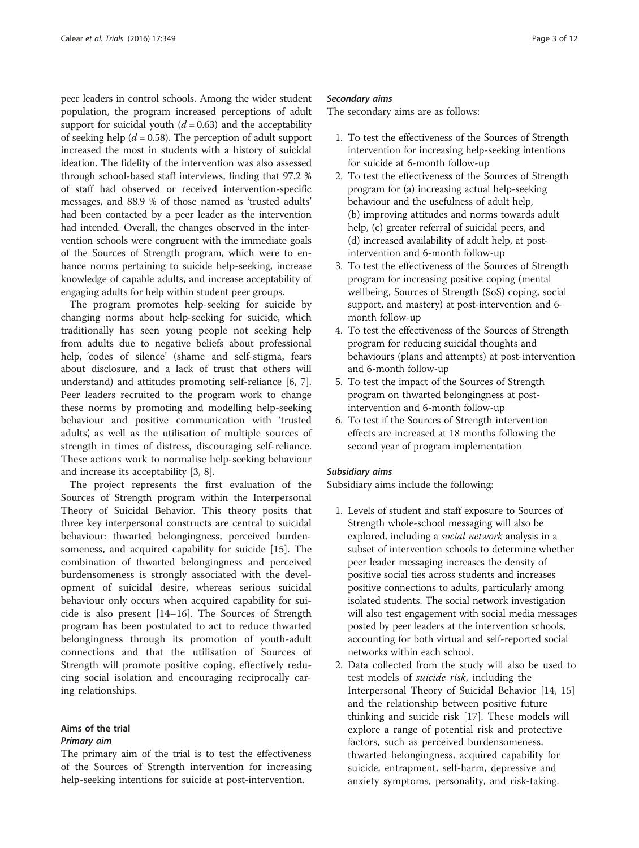peer leaders in control schools. Among the wider student population, the program increased perceptions of adult support for suicidal youth  $(d = 0.63)$  and the acceptability of seeking help ( $d = 0.58$ ). The perception of adult support increased the most in students with a history of suicidal ideation. The fidelity of the intervention was also assessed through school-based staff interviews, finding that 97.2 % of staff had observed or received intervention-specific messages, and 88.9 % of those named as 'trusted adults' had been contacted by a peer leader as the intervention had intended. Overall, the changes observed in the intervention schools were congruent with the immediate goals of the Sources of Strength program, which were to enhance norms pertaining to suicide help-seeking, increase knowledge of capable adults, and increase acceptability of engaging adults for help within student peer groups.

The program promotes help-seeking for suicide by changing norms about help-seeking for suicide, which traditionally has seen young people not seeking help from adults due to negative beliefs about professional help, 'codes of silence' (shame and self-stigma, fears about disclosure, and a lack of trust that others will understand) and attitudes promoting self-reliance [[6, 7](#page-11-0)]. Peer leaders recruited to the program work to change these norms by promoting and modelling help-seeking behaviour and positive communication with 'trusted adults', as well as the utilisation of multiple sources of strength in times of distress, discouraging self-reliance. These actions work to normalise help-seeking behaviour and increase its acceptability [\[3](#page-11-0), [8\]](#page-11-0).

The project represents the first evaluation of the Sources of Strength program within the Interpersonal Theory of Suicidal Behavior. This theory posits that three key interpersonal constructs are central to suicidal behaviour: thwarted belongingness, perceived burdensomeness, and acquired capability for suicide [\[15\]](#page-11-0). The combination of thwarted belongingness and perceived burdensomeness is strongly associated with the development of suicidal desire, whereas serious suicidal behaviour only occurs when acquired capability for suicide is also present [[14](#page-11-0)–[16](#page-11-0)]. The Sources of Strength program has been postulated to act to reduce thwarted belongingness through its promotion of youth-adult connections and that the utilisation of Sources of Strength will promote positive coping, effectively reducing social isolation and encouraging reciprocally caring relationships.

# Aims of the trial

# Primary aim

The primary aim of the trial is to test the effectiveness of the Sources of Strength intervention for increasing help-seeking intentions for suicide at post-intervention.

#### Secondary aims

The secondary aims are as follows:

- 1. To test the effectiveness of the Sources of Strength intervention for increasing help-seeking intentions for suicide at 6-month follow-up
- 2. To test the effectiveness of the Sources of Strength program for (a) increasing actual help-seeking behaviour and the usefulness of adult help, (b) improving attitudes and norms towards adult help, (c) greater referral of suicidal peers, and (d) increased availability of adult help, at postintervention and 6-month follow-up
- 3. To test the effectiveness of the Sources of Strength program for increasing positive coping (mental wellbeing, Sources of Strength (SoS) coping, social support, and mastery) at post-intervention and 6 month follow-up
- 4. To test the effectiveness of the Sources of Strength program for reducing suicidal thoughts and behaviours (plans and attempts) at post-intervention and 6-month follow-up
- 5. To test the impact of the Sources of Strength program on thwarted belongingness at postintervention and 6-month follow-up
- 6. To test if the Sources of Strength intervention effects are increased at 18 months following the second year of program implementation

#### Subsidiary aims

Subsidiary aims include the following:

- 1. Levels of student and staff exposure to Sources of Strength whole-school messaging will also be explored, including a social network analysis in a subset of intervention schools to determine whether peer leader messaging increases the density of positive social ties across students and increases positive connections to adults, particularly among isolated students. The social network investigation will also test engagement with social media messages posted by peer leaders at the intervention schools, accounting for both virtual and self-reported social networks within each school.
- 2. Data collected from the study will also be used to test models of suicide risk, including the Interpersonal Theory of Suicidal Behavior [\[14](#page-11-0), [15](#page-11-0)] and the relationship between positive future thinking and suicide risk [\[17](#page-11-0)]. These models will explore a range of potential risk and protective factors, such as perceived burdensomeness, thwarted belongingness, acquired capability for suicide, entrapment, self-harm, depressive and anxiety symptoms, personality, and risk-taking.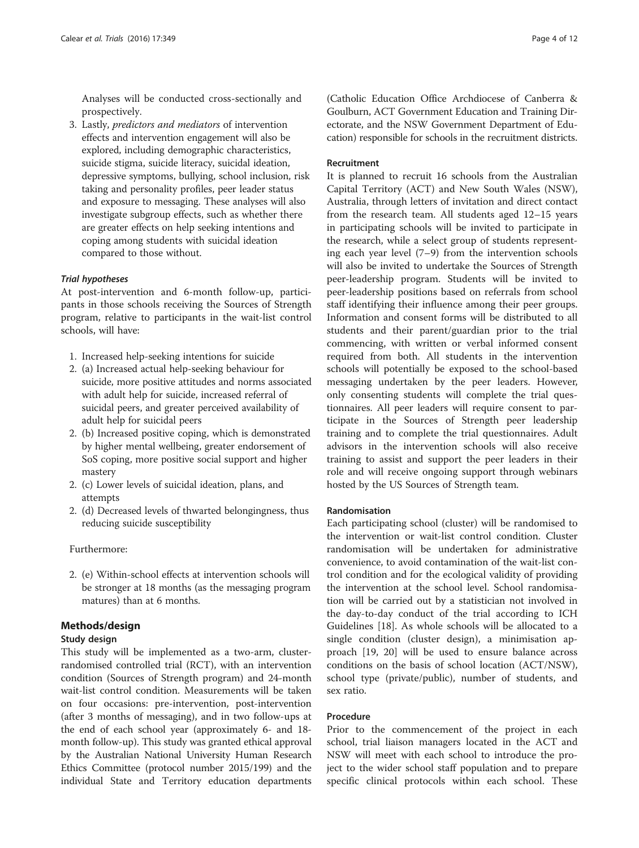Analyses will be conducted cross-sectionally and prospectively.

3. Lastly, predictors and mediators of intervention effects and intervention engagement will also be explored, including demographic characteristics, suicide stigma, suicide literacy, suicidal ideation, depressive symptoms, bullying, school inclusion, risk taking and personality profiles, peer leader status and exposure to messaging. These analyses will also investigate subgroup effects, such as whether there are greater effects on help seeking intentions and coping among students with suicidal ideation compared to those without.

#### Trial hypotheses

At post-intervention and 6-month follow-up, participants in those schools receiving the Sources of Strength program, relative to participants in the wait-list control schools, will have:

- 1. Increased help-seeking intentions for suicide
- 2. (a) Increased actual help-seeking behaviour for suicide, more positive attitudes and norms associated with adult help for suicide, increased referral of suicidal peers, and greater perceived availability of adult help for suicidal peers
- 2. (b) Increased positive coping, which is demonstrated by higher mental wellbeing, greater endorsement of SoS coping, more positive social support and higher mastery
- 2. (c) Lower levels of suicidal ideation, plans, and attempts
- 2. (d) Decreased levels of thwarted belongingness, thus reducing suicide susceptibility

### Furthermore:

2. (e) Within-school effects at intervention schools will be stronger at 18 months (as the messaging program matures) than at 6 months.

#### Methods/design

#### Study design

This study will be implemented as a two-arm, clusterrandomised controlled trial (RCT), with an intervention condition (Sources of Strength program) and 24-month wait-list control condition. Measurements will be taken on four occasions: pre-intervention, post-intervention (after 3 months of messaging), and in two follow-ups at the end of each school year (approximately 6- and 18 month follow-up). This study was granted ethical approval by the Australian National University Human Research Ethics Committee (protocol number 2015/199) and the individual State and Territory education departments

(Catholic Education Office Archdiocese of Canberra & Goulburn, ACT Government Education and Training Directorate, and the NSW Government Department of Education) responsible for schools in the recruitment districts.

#### Recruitment

It is planned to recruit 16 schools from the Australian Capital Territory (ACT) and New South Wales (NSW), Australia, through letters of invitation and direct contact from the research team. All students aged 12–15 years in participating schools will be invited to participate in the research, while a select group of students representing each year level (7–9) from the intervention schools will also be invited to undertake the Sources of Strength peer-leadership program. Students will be invited to peer-leadership positions based on referrals from school staff identifying their influence among their peer groups. Information and consent forms will be distributed to all students and their parent/guardian prior to the trial commencing, with written or verbal informed consent required from both. All students in the intervention schools will potentially be exposed to the school-based messaging undertaken by the peer leaders. However, only consenting students will complete the trial questionnaires. All peer leaders will require consent to participate in the Sources of Strength peer leadership training and to complete the trial questionnaires. Adult advisors in the intervention schools will also receive training to assist and support the peer leaders in their role and will receive ongoing support through webinars hosted by the US Sources of Strength team.

#### Randomisation

Each participating school (cluster) will be randomised to the intervention or wait-list control condition. Cluster randomisation will be undertaken for administrative convenience, to avoid contamination of the wait-list control condition and for the ecological validity of providing the intervention at the school level. School randomisation will be carried out by a statistician not involved in the day-to-day conduct of the trial according to ICH Guidelines [\[18\]](#page-11-0). As whole schools will be allocated to a single condition (cluster design), a minimisation approach [[19, 20\]](#page-11-0) will be used to ensure balance across conditions on the basis of school location (ACT/NSW), school type (private/public), number of students, and sex ratio.

#### **Procedure**

Prior to the commencement of the project in each school, trial liaison managers located in the ACT and NSW will meet with each school to introduce the project to the wider school staff population and to prepare specific clinical protocols within each school. These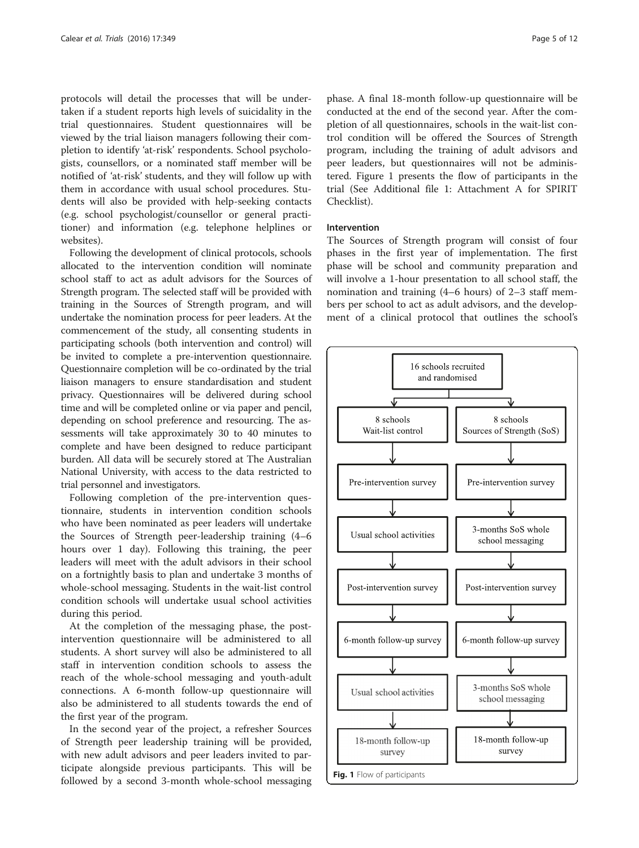protocols will detail the processes that will be undertaken if a student reports high levels of suicidality in the trial questionnaires. Student questionnaires will be viewed by the trial liaison managers following their completion to identify 'at-risk' respondents. School psychologists, counsellors, or a nominated staff member will be notified of 'at-risk' students, and they will follow up with them in accordance with usual school procedures. Students will also be provided with help-seeking contacts (e.g. school psychologist/counsellor or general practitioner) and information (e.g. telephone helplines or websites).

Following the development of clinical protocols, schools allocated to the intervention condition will nominate school staff to act as adult advisors for the Sources of Strength program. The selected staff will be provided with training in the Sources of Strength program, and will undertake the nomination process for peer leaders. At the commencement of the study, all consenting students in participating schools (both intervention and control) will be invited to complete a pre-intervention questionnaire. Questionnaire completion will be co-ordinated by the trial liaison managers to ensure standardisation and student privacy. Questionnaires will be delivered during school time and will be completed online or via paper and pencil, depending on school preference and resourcing. The assessments will take approximately 30 to 40 minutes to complete and have been designed to reduce participant burden. All data will be securely stored at The Australian National University, with access to the data restricted to trial personnel and investigators.

Following completion of the pre-intervention questionnaire, students in intervention condition schools who have been nominated as peer leaders will undertake the Sources of Strength peer-leadership training (4–6 hours over 1 day). Following this training, the peer leaders will meet with the adult advisors in their school on a fortnightly basis to plan and undertake 3 months of whole-school messaging. Students in the wait-list control condition schools will undertake usual school activities during this period.

At the completion of the messaging phase, the postintervention questionnaire will be administered to all students. A short survey will also be administered to all staff in intervention condition schools to assess the reach of the whole-school messaging and youth-adult connections. A 6-month follow-up questionnaire will also be administered to all students towards the end of the first year of the program.

In the second year of the project, a refresher Sources of Strength peer leadership training will be provided, with new adult advisors and peer leaders invited to participate alongside previous participants. This will be followed by a second 3-month whole-school messaging

phase. A final 18-month follow-up questionnaire will be conducted at the end of the second year. After the completion of all questionnaires, schools in the wait-list control condition will be offered the Sources of Strength program, including the training of adult advisors and peer leaders, but questionnaires will not be administered. Figure 1 presents the flow of participants in the trial (See Additional file [1:](#page-10-0) Attachment A for SPIRIT Checklist).

#### Intervention

The Sources of Strength program will consist of four phases in the first year of implementation. The first phase will be school and community preparation and will involve a 1-hour presentation to all school staff, the nomination and training (4–6 hours) of 2–3 staff members per school to act as adult advisors, and the development of a clinical protocol that outlines the school's

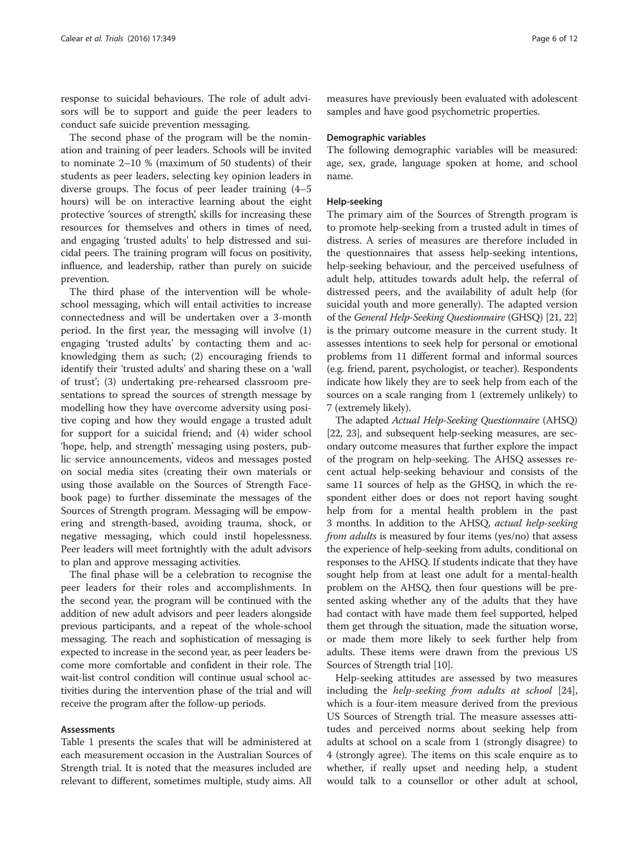response to suicidal behaviours. The role of adult advisors will be to support and guide the peer leaders to conduct safe suicide prevention messaging.

The second phase of the program will be the nomination and training of peer leaders. Schools will be invited to nominate 2–10 % (maximum of 50 students) of their students as peer leaders, selecting key opinion leaders in diverse groups. The focus of peer leader training (4–5 hours) will be on interactive learning about the eight protective 'sources of strength', skills for increasing these resources for themselves and others in times of need, and engaging 'trusted adults' to help distressed and suicidal peers. The training program will focus on positivity, influence, and leadership, rather than purely on suicide prevention.

The third phase of the intervention will be wholeschool messaging, which will entail activities to increase connectedness and will be undertaken over a 3-month period. In the first year, the messaging will involve (1) engaging 'trusted adults' by contacting them and acknowledging them as such; (2) encouraging friends to identify their 'trusted adults' and sharing these on a 'wall of trust'; (3) undertaking pre-rehearsed classroom presentations to spread the sources of strength message by modelling how they have overcome adversity using positive coping and how they would engage a trusted adult for support for a suicidal friend; and (4) wider school 'hope, help, and strength' messaging using posters, public service announcements, videos and messages posted on social media sites (creating their own materials or using those available on the Sources of Strength Facebook page) to further disseminate the messages of the Sources of Strength program. Messaging will be empowering and strength-based, avoiding trauma, shock, or negative messaging, which could instil hopelessness. Peer leaders will meet fortnightly with the adult advisors to plan and approve messaging activities.

The final phase will be a celebration to recognise the peer leaders for their roles and accomplishments. In the second year, the program will be continued with the addition of new adult advisors and peer leaders alongside previous participants, and a repeat of the whole-school messaging. The reach and sophistication of messaging is expected to increase in the second year, as peer leaders become more comfortable and confident in their role. The wait-list control condition will continue usual school activities during the intervention phase of the trial and will receive the program after the follow-up periods.

#### Assessments

Table [1](#page-6-0) presents the scales that will be administered at each measurement occasion in the Australian Sources of Strength trial. It is noted that the measures included are relevant to different, sometimes multiple, study aims. All

measures have previously been evaluated with adolescent samples and have good psychometric properties.

#### Demographic variables

The following demographic variables will be measured: age, sex, grade, language spoken at home, and school name.

#### Help-seeking

The primary aim of the Sources of Strength program is to promote help-seeking from a trusted adult in times of distress. A series of measures are therefore included in the questionnaires that assess help-seeking intentions, help-seeking behaviour, and the perceived usefulness of adult help, attitudes towards adult help, the referral of distressed peers, and the availability of adult help (for suicidal youth and more generally). The adapted version of the General Help-Seeking Questionnaire (GHSQ) [\[21](#page-11-0), [22](#page-11-0)] is the primary outcome measure in the current study. It assesses intentions to seek help for personal or emotional problems from 11 different formal and informal sources (e.g. friend, parent, psychologist, or teacher). Respondents indicate how likely they are to seek help from each of the sources on a scale ranging from 1 (extremely unlikely) to 7 (extremely likely).

The adapted Actual Help-Seeking Questionnaire (AHSQ) [[22](#page-11-0), [23](#page-11-0)], and subsequent help-seeking measures, are secondary outcome measures that further explore the impact of the program on help-seeking. The AHSQ assesses recent actual help-seeking behaviour and consists of the same 11 sources of help as the GHSQ, in which the respondent either does or does not report having sought help from for a mental health problem in the past 3 months. In addition to the AHSQ, actual help-seeking from adults is measured by four items (yes/no) that assess the experience of help-seeking from adults, conditional on responses to the AHSQ. If students indicate that they have sought help from at least one adult for a mental-health problem on the AHSQ, then four questions will be presented asking whether any of the adults that they have had contact with have made them feel supported, helped them get through the situation, made the situation worse, or made them more likely to seek further help from adults. These items were drawn from the previous US Sources of Strength trial [\[10\]](#page-11-0).

Help-seeking attitudes are assessed by two measures including the help-seeking from adults at school [\[24](#page-11-0)], which is a four-item measure derived from the previous US Sources of Strength trial. The measure assesses attitudes and perceived norms about seeking help from adults at school on a scale from 1 (strongly disagree) to 4 (strongly agree). The items on this scale enquire as to whether, if really upset and needing help, a student would talk to a counsellor or other adult at school,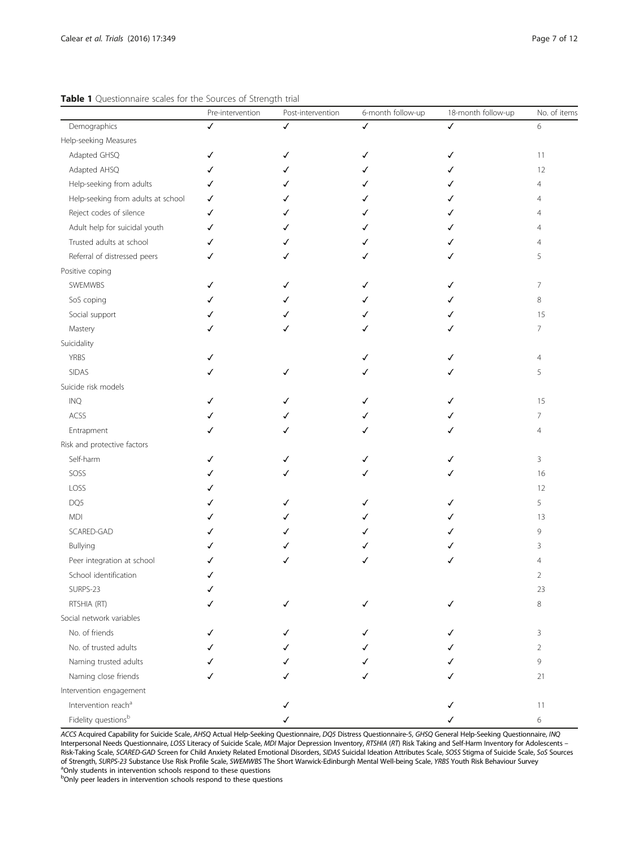|                                    | Pre-intervention | Post-intervention | 6-month follow-up | 18-month follow-up | No. of items   |
|------------------------------------|------------------|-------------------|-------------------|--------------------|----------------|
| Demographics                       |                  |                   | ✓                 | ✓                  | 6              |
| Help-seeking Measures              |                  |                   |                   |                    |                |
| Adapted GHSQ                       | ✓                |                   |                   | ✓                  | 11             |
| Adapted AHSQ                       | ✓                |                   |                   |                    | 12             |
| Help-seeking from adults           | ✓                |                   |                   |                    | $\overline{4}$ |
| Help-seeking from adults at school | ✓                |                   |                   |                    | $\overline{4}$ |
| Reject codes of silence            | ✓                |                   |                   |                    | $\overline{4}$ |
| Adult help for suicidal youth      | ✓                |                   |                   |                    | $\overline{4}$ |
| Trusted adults at school           | ✓                |                   |                   |                    | $\overline{4}$ |
| Referral of distressed peers       | ✓                |                   |                   | ✓                  | 5              |
| Positive coping                    |                  |                   |                   |                    |                |
| SWEMWBS                            | ✓                |                   |                   | ✓                  | $\overline{7}$ |
| SoS coping                         |                  |                   |                   |                    | 8              |
| Social support                     |                  |                   |                   |                    | 15             |
| Mastery                            |                  |                   |                   |                    | $\overline{7}$ |
| Suicidality                        |                  |                   |                   |                    |                |
| <b>YRBS</b>                        |                  |                   |                   |                    | $\overline{4}$ |
| SIDAS                              |                  |                   |                   |                    | 5              |
| Suicide risk models                |                  |                   |                   |                    |                |
| INQ                                |                  |                   |                   | ✓                  | 15             |
| ACSS                               |                  |                   |                   |                    | 7              |
| Entrapment                         |                  |                   |                   | ✓                  | $\overline{4}$ |
| Risk and protective factors        |                  |                   |                   |                    |                |
| Self-harm                          | ✓                |                   |                   | ✓                  | 3              |
| SOSS                               |                  |                   |                   |                    | 16             |
| LOSS                               |                  |                   |                   |                    | 12             |
| DQ5                                |                  |                   |                   |                    | 5              |
| <b>MDI</b>                         |                  |                   |                   |                    | 13             |
| SCARED-GAD                         |                  |                   |                   |                    | 9              |
| Bullying                           |                  |                   |                   |                    | 3              |
| Peer integration at school         |                  |                   | ✓                 | √                  | $\overline{4}$ |
| School identification              | ✓                |                   |                   |                    | $\overline{2}$ |
| SURPS-23                           |                  |                   |                   |                    | 23             |
| RTSHIA (RT)                        |                  |                   |                   |                    | 8              |
| Social network variables           |                  |                   |                   |                    |                |
| No. of friends                     |                  |                   |                   |                    | 3              |
| No. of trusted adults              |                  |                   |                   |                    | $\overline{2}$ |
| Naming trusted adults              |                  |                   |                   |                    | 9              |
| Naming close friends               |                  |                   |                   |                    | 21             |
| Intervention engagement            |                  |                   |                   |                    |                |
| Intervention reach <sup>a</sup>    |                  |                   |                   |                    | 11             |
| Fidelity questionsb                |                  |                   |                   |                    | 6              |

#### <span id="page-6-0"></span>Table 1 Questionnaire scales for the Sources of Strength trial

ACCS Acquired Capability for Suicide Scale, AHSQ Actual Help-Seeking Questionnaire, DQ5 Distress Questionnaire-5, GHSQ General Help-Seeking Questionnaire, INQ Interpersonal Needs Questionnaire, LOSS Literacy of Suicide Scale, MDI Major Depression Inventory, RTSHIA (RT) Risk Taking and Self-Harm Inventory for Adolescents – Risk-Taking Scale, SCARED-GAD Screen for Child Anxiety Related Emotional Disorders, SIDAS Suicidal Ideation Attributes Scale, SOSS Stigma of Suicide Scale, SoS Sources of Strength, SURPS-23 Substance Use Risk Profile Scale, SWEMWBS The Short Warwick-Edinburgh Mental Well-being Scale, YRBS Youth Risk Behaviour Survey <sup>a</sup>Only students in intervention schools respond to these questions

<sup>b</sup>Only peer leaders in intervention schools respond to these questions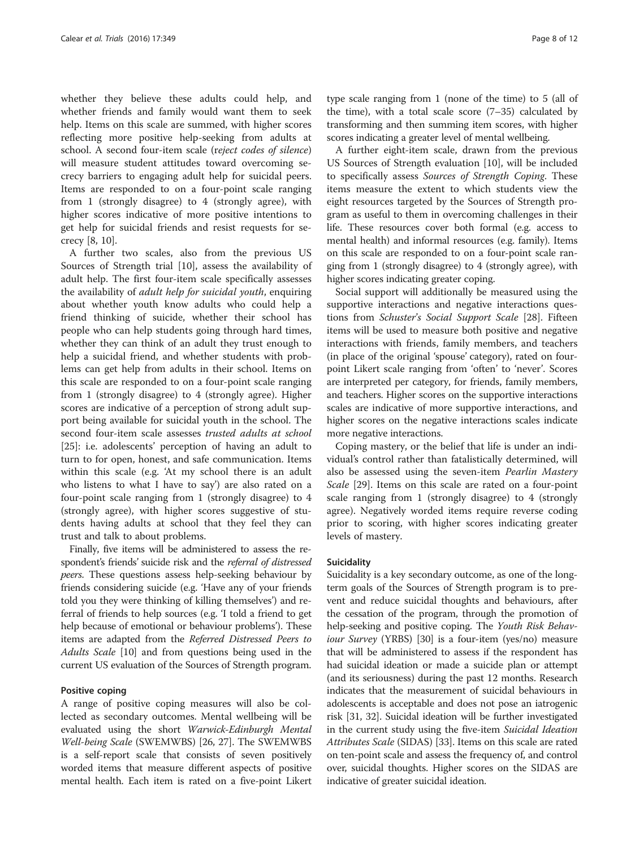whether they believe these adults could help, and whether friends and family would want them to seek help. Items on this scale are summed, with higher scores reflecting more positive help-seeking from adults at school. A second four-item scale (reject codes of silence) will measure student attitudes toward overcoming secrecy barriers to engaging adult help for suicidal peers. Items are responded to on a four-point scale ranging from 1 (strongly disagree) to 4 (strongly agree), with higher scores indicative of more positive intentions to get help for suicidal friends and resist requests for secrecy [\[8](#page-11-0), [10\]](#page-11-0).

A further two scales, also from the previous US Sources of Strength trial [\[10\]](#page-11-0), assess the availability of adult help. The first four-item scale specifically assesses the availability of *adult help for suicidal youth*, enquiring about whether youth know adults who could help a friend thinking of suicide, whether their school has people who can help students going through hard times, whether they can think of an adult they trust enough to help a suicidal friend, and whether students with problems can get help from adults in their school. Items on this scale are responded to on a four-point scale ranging from 1 (strongly disagree) to 4 (strongly agree). Higher scores are indicative of a perception of strong adult support being available for suicidal youth in the school. The second four-item scale assesses trusted adults at school [[25\]](#page-11-0): i.e. adolescents' perception of having an adult to turn to for open, honest, and safe communication. Items within this scale (e.g. 'At my school there is an adult who listens to what I have to say') are also rated on a four-point scale ranging from 1 (strongly disagree) to 4 (strongly agree), with higher scores suggestive of students having adults at school that they feel they can trust and talk to about problems.

Finally, five items will be administered to assess the respondent's friends' suicide risk and the referral of distressed peers. These questions assess help-seeking behaviour by friends considering suicide (e.g. 'Have any of your friends told you they were thinking of killing themselves') and referral of friends to help sources (e.g. 'I told a friend to get help because of emotional or behaviour problems'). These items are adapted from the Referred Distressed Peers to Adults Scale [\[10\]](#page-11-0) and from questions being used in the current US evaluation of the Sources of Strength program.

#### Positive coping

A range of positive coping measures will also be collected as secondary outcomes. Mental wellbeing will be evaluated using the short Warwick-Edinburgh Mental Well-being Scale (SWEMWBS) [[26](#page-11-0), [27](#page-11-0)]. The SWEMWBS is a self-report scale that consists of seven positively worded items that measure different aspects of positive mental health. Each item is rated on a five-point Likert type scale ranging from 1 (none of the time) to 5 (all of the time), with a total scale score  $(7-35)$  calculated by transforming and then summing item scores, with higher scores indicating a greater level of mental wellbeing.

A further eight-item scale, drawn from the previous US Sources of Strength evaluation [[10\]](#page-11-0), will be included to specifically assess Sources of Strength Coping. These items measure the extent to which students view the eight resources targeted by the Sources of Strength program as useful to them in overcoming challenges in their life. These resources cover both formal (e.g. access to mental health) and informal resources (e.g. family). Items on this scale are responded to on a four-point scale ranging from 1 (strongly disagree) to 4 (strongly agree), with higher scores indicating greater coping.

Social support will additionally be measured using the supportive interactions and negative interactions questions from Schuster's Social Support Scale [[28\]](#page-11-0). Fifteen items will be used to measure both positive and negative interactions with friends, family members, and teachers (in place of the original 'spouse' category), rated on fourpoint Likert scale ranging from 'often' to 'never'. Scores are interpreted per category, for friends, family members, and teachers. Higher scores on the supportive interactions scales are indicative of more supportive interactions, and higher scores on the negative interactions scales indicate more negative interactions.

Coping mastery, or the belief that life is under an individual's control rather than fatalistically determined, will also be assessed using the seven-item Pearlin Mastery Scale [\[29](#page-11-0)]. Items on this scale are rated on a four-point scale ranging from 1 (strongly disagree) to 4 (strongly agree). Negatively worded items require reverse coding prior to scoring, with higher scores indicating greater levels of mastery.

#### **Suicidality**

Suicidality is a key secondary outcome, as one of the longterm goals of the Sources of Strength program is to prevent and reduce suicidal thoughts and behaviours, after the cessation of the program, through the promotion of help-seeking and positive coping. The Youth Risk Behaviour Survey (YRBS) [[30](#page-11-0)] is a four-item (yes/no) measure that will be administered to assess if the respondent has had suicidal ideation or made a suicide plan or attempt (and its seriousness) during the past 12 months. Research indicates that the measurement of suicidal behaviours in adolescents is acceptable and does not pose an iatrogenic risk [[31, 32\]](#page-11-0). Suicidal ideation will be further investigated in the current study using the five-item Suicidal Ideation Attributes Scale (SIDAS) [\[33\]](#page-11-0). Items on this scale are rated on ten-point scale and assess the frequency of, and control over, suicidal thoughts. Higher scores on the SIDAS are indicative of greater suicidal ideation.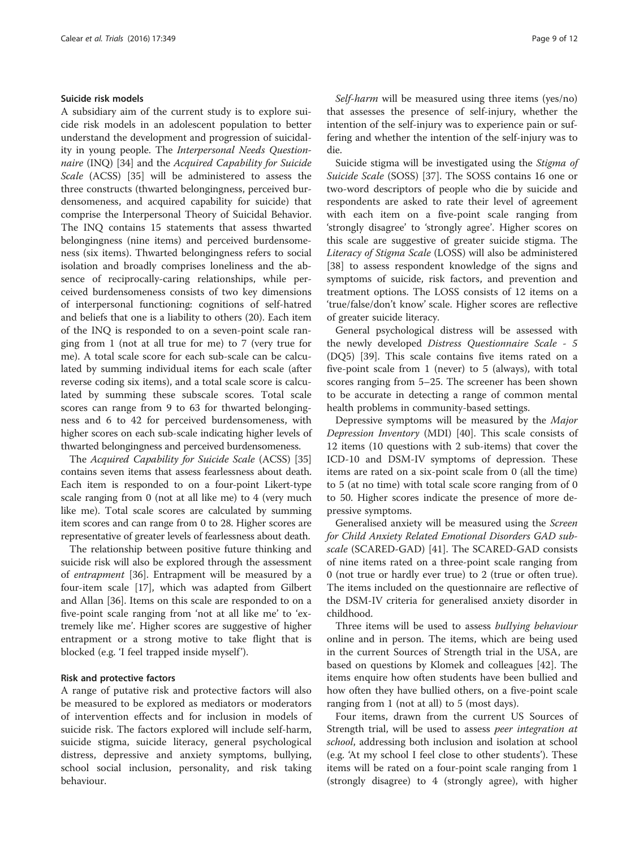#### Suicide risk models

A subsidiary aim of the current study is to explore suicide risk models in an adolescent population to better understand the development and progression of suicidality in young people. The Interpersonal Needs Questionnaire (INQ) [[34\]](#page-11-0) and the Acquired Capability for Suicide Scale (ACSS) [[35\]](#page-11-0) will be administered to assess the three constructs (thwarted belongingness, perceived burdensomeness, and acquired capability for suicide) that comprise the Interpersonal Theory of Suicidal Behavior. The INQ contains 15 statements that assess thwarted belongingness (nine items) and perceived burdensomeness (six items). Thwarted belongingness refers to social isolation and broadly comprises loneliness and the absence of reciprocally-caring relationships, while perceived burdensomeness consists of two key dimensions of interpersonal functioning: cognitions of self-hatred and beliefs that one is a liability to others (20). Each item of the INQ is responded to on a seven-point scale ranging from 1 (not at all true for me) to 7 (very true for me). A total scale score for each sub-scale can be calculated by summing individual items for each scale (after reverse coding six items), and a total scale score is calculated by summing these subscale scores. Total scale scores can range from 9 to 63 for thwarted belongingness and 6 to 42 for perceived burdensomeness, with higher scores on each sub-scale indicating higher levels of thwarted belongingness and perceived burdensomeness.

The Acquired Capability for Suicide Scale (ACSS) [[35](#page-11-0)] contains seven items that assess fearlessness about death. Each item is responded to on a four-point Likert-type scale ranging from 0 (not at all like me) to 4 (very much like me). Total scale scores are calculated by summing item scores and can range from 0 to 28. Higher scores are representative of greater levels of fearlessness about death.

The relationship between positive future thinking and suicide risk will also be explored through the assessment of entrapment [[36](#page-11-0)]. Entrapment will be measured by a four-item scale [[17\]](#page-11-0), which was adapted from Gilbert and Allan [[36\]](#page-11-0). Items on this scale are responded to on a five-point scale ranging from 'not at all like me' to 'extremely like me'. Higher scores are suggestive of higher entrapment or a strong motive to take flight that is blocked (e.g. 'I feel trapped inside myself').

#### Risk and protective factors

A range of putative risk and protective factors will also be measured to be explored as mediators or moderators of intervention effects and for inclusion in models of suicide risk. The factors explored will include self-harm, suicide stigma, suicide literacy, general psychological distress, depressive and anxiety symptoms, bullying, school social inclusion, personality, and risk taking behaviour.

Self-harm will be measured using three items (yes/no) that assesses the presence of self-injury, whether the intention of the self-injury was to experience pain or suffering and whether the intention of the self-injury was to die.

Suicide stigma will be investigated using the Stigma of Suicide Scale (SOSS) [[37\]](#page-11-0). The SOSS contains 16 one or two-word descriptors of people who die by suicide and respondents are asked to rate their level of agreement with each item on a five-point scale ranging from 'strongly disagree' to 'strongly agree'. Higher scores on this scale are suggestive of greater suicide stigma. The Literacy of Stigma Scale (LOSS) will also be administered [[38\]](#page-11-0) to assess respondent knowledge of the signs and symptoms of suicide, risk factors, and prevention and treatment options. The LOSS consists of 12 items on a 'true/false/don't know' scale. Higher scores are reflective of greater suicide literacy.

General psychological distress will be assessed with the newly developed Distress Questionnaire Scale - 5 (DQ5) [\[39\]](#page-11-0). This scale contains five items rated on a five-point scale from 1 (never) to 5 (always), with total scores ranging from 5–25. The screener has been shown to be accurate in detecting a range of common mental health problems in community-based settings.

Depressive symptoms will be measured by the Major Depression Inventory (MDI) [[40](#page-11-0)]. This scale consists of 12 items (10 questions with 2 sub-items) that cover the ICD-10 and DSM-IV symptoms of depression. These items are rated on a six-point scale from 0 (all the time) to 5 (at no time) with total scale score ranging from of 0 to 50. Higher scores indicate the presence of more depressive symptoms.

Generalised anxiety will be measured using the Screen for Child Anxiety Related Emotional Disorders GAD subscale (SCARED-GAD) [[41\]](#page-11-0). The SCARED-GAD consists of nine items rated on a three-point scale ranging from 0 (not true or hardly ever true) to 2 (true or often true). The items included on the questionnaire are reflective of the DSM-IV criteria for generalised anxiety disorder in childhood.

Three items will be used to assess bullying behaviour online and in person. The items, which are being used in the current Sources of Strength trial in the USA, are based on questions by Klomek and colleagues [[42](#page-11-0)]. The items enquire how often students have been bullied and how often they have bullied others, on a five-point scale ranging from 1 (not at all) to 5 (most days).

Four items, drawn from the current US Sources of Strength trial, will be used to assess peer integration at school, addressing both inclusion and isolation at school (e.g. 'At my school I feel close to other students'). These items will be rated on a four-point scale ranging from 1 (strongly disagree) to 4 (strongly agree), with higher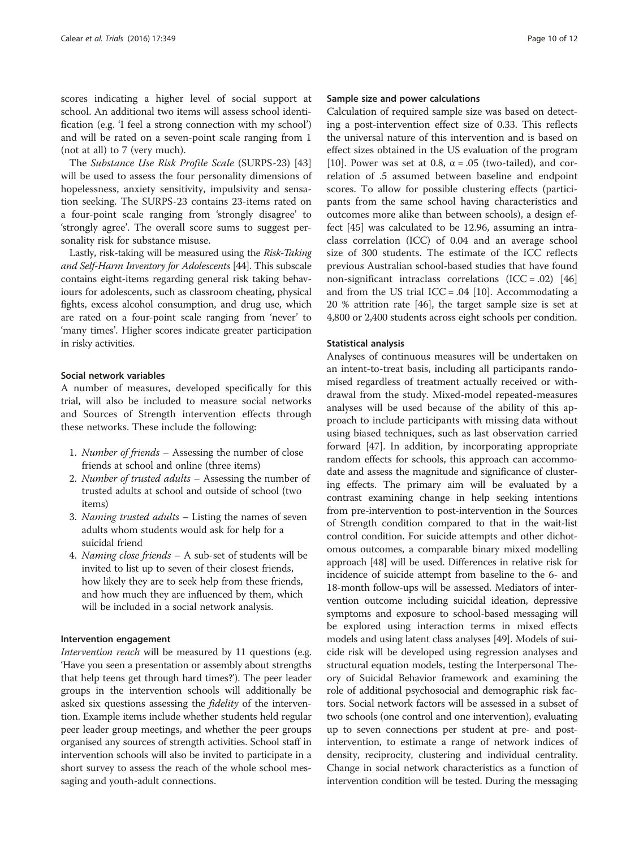scores indicating a higher level of social support at school. An additional two items will assess school identification (e.g. 'I feel a strong connection with my school') and will be rated on a seven-point scale ranging from 1 (not at all) to 7 (very much).

The Substance Use Risk Profile Scale (SURPS-23) [[43](#page-11-0)] will be used to assess the four personality dimensions of hopelessness, anxiety sensitivity, impulsivity and sensation seeking. The SURPS-23 contains 23-items rated on a four-point scale ranging from 'strongly disagree' to 'strongly agree'. The overall score sums to suggest personality risk for substance misuse.

Lastly, risk-taking will be measured using the Risk-Taking and Self-Harm Inventory for Adolescents [\[44](#page-11-0)]. This subscale contains eight-items regarding general risk taking behaviours for adolescents, such as classroom cheating, physical fights, excess alcohol consumption, and drug use, which are rated on a four-point scale ranging from 'never' to 'many times'. Higher scores indicate greater participation in risky activities.

#### Social network variables

A number of measures, developed specifically for this trial, will also be included to measure social networks and Sources of Strength intervention effects through these networks. These include the following:

- 1. Number of friends Assessing the number of close friends at school and online (three items)
- 2. Number of trusted adults Assessing the number of trusted adults at school and outside of school (two items)
- 3. Naming trusted adults Listing the names of seven adults whom students would ask for help for a suicidal friend
- 4. Naming close friends A sub-set of students will be invited to list up to seven of their closest friends, how likely they are to seek help from these friends, and how much they are influenced by them, which will be included in a social network analysis.

#### Intervention engagement

Intervention reach will be measured by 11 questions (e.g. 'Have you seen a presentation or assembly about strengths that help teens get through hard times?'). The peer leader groups in the intervention schools will additionally be asked six questions assessing the *fidelity* of the intervention. Example items include whether students held regular peer leader group meetings, and whether the peer groups organised any sources of strength activities. School staff in intervention schools will also be invited to participate in a short survey to assess the reach of the whole school messaging and youth-adult connections.

#### Sample size and power calculations

Calculation of required sample size was based on detecting a post-intervention effect size of 0.33. This reflects the universal nature of this intervention and is based on effect sizes obtained in the US evaluation of the program [[10\]](#page-11-0). Power was set at 0.8,  $\alpha$  = .05 (two-tailed), and correlation of .5 assumed between baseline and endpoint scores. To allow for possible clustering effects (participants from the same school having characteristics and outcomes more alike than between schools), a design effect [[45](#page-11-0)] was calculated to be 12.96, assuming an intraclass correlation (ICC) of 0.04 and an average school size of 300 students. The estimate of the ICC reflects previous Australian school-based studies that have found non-significant intraclass correlations  $(ICC=.02)$  [[46](#page-11-0)] and from the US trial ICC = .04 [\[10\]](#page-11-0). Accommodating a 20 % attrition rate [[46](#page-11-0)], the target sample size is set at 4,800 or 2,400 students across eight schools per condition.

#### Statistical analysis

Analyses of continuous measures will be undertaken on an intent-to-treat basis, including all participants randomised regardless of treatment actually received or withdrawal from the study. Mixed-model repeated-measures analyses will be used because of the ability of this approach to include participants with missing data without using biased techniques, such as last observation carried forward [\[47](#page-11-0)]. In addition, by incorporating appropriate random effects for schools, this approach can accommodate and assess the magnitude and significance of clustering effects. The primary aim will be evaluated by a contrast examining change in help seeking intentions from pre-intervention to post-intervention in the Sources of Strength condition compared to that in the wait-list control condition. For suicide attempts and other dichotomous outcomes, a comparable binary mixed modelling approach [\[48\]](#page-11-0) will be used. Differences in relative risk for incidence of suicide attempt from baseline to the 6- and 18-month follow-ups will be assessed. Mediators of intervention outcome including suicidal ideation, depressive symptoms and exposure to school-based messaging will be explored using interaction terms in mixed effects models and using latent class analyses [\[49\]](#page-11-0). Models of suicide risk will be developed using regression analyses and structural equation models, testing the Interpersonal Theory of Suicidal Behavior framework and examining the role of additional psychosocial and demographic risk factors. Social network factors will be assessed in a subset of two schools (one control and one intervention), evaluating up to seven connections per student at pre- and postintervention, to estimate a range of network indices of density, reciprocity, clustering and individual centrality. Change in social network characteristics as a function of intervention condition will be tested. During the messaging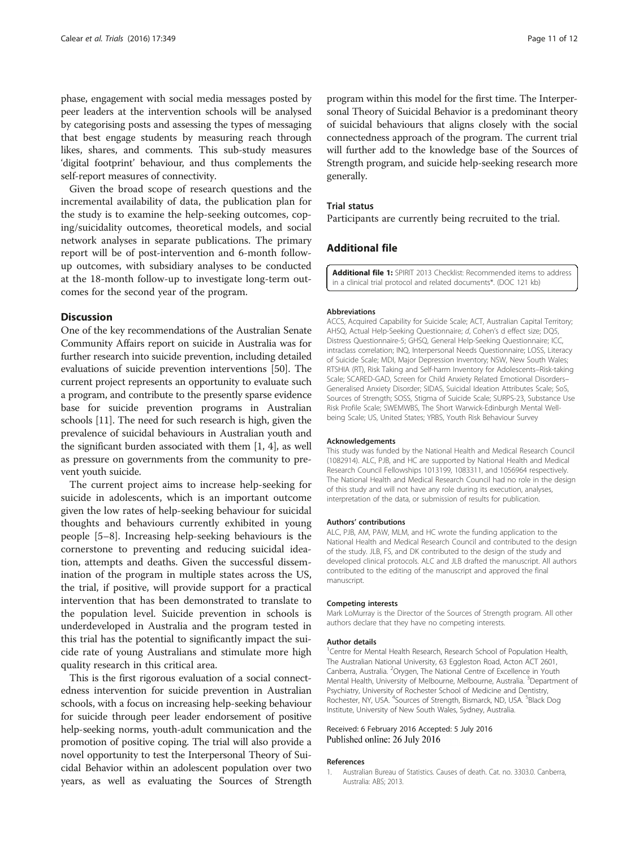<span id="page-10-0"></span>phase, engagement with social media messages posted by peer leaders at the intervention schools will be analysed by categorising posts and assessing the types of messaging that best engage students by measuring reach through likes, shares, and comments. This sub-study measures 'digital footprint' behaviour, and thus complements the self-report measures of connectivity.

Given the broad scope of research questions and the incremental availability of data, the publication plan for the study is to examine the help-seeking outcomes, coping/suicidality outcomes, theoretical models, and social network analyses in separate publications. The primary report will be of post-intervention and 6-month followup outcomes, with subsidiary analyses to be conducted at the 18-month follow-up to investigate long-term outcomes for the second year of the program.

#### **Discussion**

One of the key recommendations of the Australian Senate Community Affairs report on suicide in Australia was for further research into suicide prevention, including detailed evaluations of suicide prevention interventions [[50](#page-11-0)]. The current project represents an opportunity to evaluate such a program, and contribute to the presently sparse evidence base for suicide prevention programs in Australian schools [\[11\]](#page-11-0). The need for such research is high, given the prevalence of suicidal behaviours in Australian youth and the significant burden associated with them [1, [4\]](#page-11-0), as well as pressure on governments from the community to prevent youth suicide.

The current project aims to increase help-seeking for suicide in adolescents, which is an important outcome given the low rates of help-seeking behaviour for suicidal thoughts and behaviours currently exhibited in young people [\[5](#page-11-0)–[8\]](#page-11-0). Increasing help-seeking behaviours is the cornerstone to preventing and reducing suicidal ideation, attempts and deaths. Given the successful dissemination of the program in multiple states across the US, the trial, if positive, will provide support for a practical intervention that has been demonstrated to translate to the population level. Suicide prevention in schools is underdeveloped in Australia and the program tested in this trial has the potential to significantly impact the suicide rate of young Australians and stimulate more high quality research in this critical area.

This is the first rigorous evaluation of a social connectedness intervention for suicide prevention in Australian schools, with a focus on increasing help-seeking behaviour for suicide through peer leader endorsement of positive help-seeking norms, youth-adult communication and the promotion of positive coping. The trial will also provide a novel opportunity to test the Interpersonal Theory of Suicidal Behavior within an adolescent population over two years, as well as evaluating the Sources of Strength

program within this model for the first time. The Interpersonal Theory of Suicidal Behavior is a predominant theory of suicidal behaviours that aligns closely with the social connectedness approach of the program. The current trial will further add to the knowledge base of the Sources of Strength program, and suicide help-seeking research more generally.

#### Trial status

Participants are currently being recruited to the trial.

#### Additional file

[Additional file 1:](dx.doi.org/10.1186/s13063-016-1475-1) SPIRIT 2013 Checklist: Recommended items to address in a clinical trial protocol and related documents\*. (DOC 121 kb)

#### Abbreviations

ACCS, Acquired Capability for Suicide Scale; ACT, Australian Capital Territory; AHSQ, Actual Help-Seeking Questionnaire; d, Cohen's d effect size; DQ5, Distress Questionnaire-5; GHSQ, General Help-Seeking Questionnaire; ICC, intraclass correlation; INQ, Interpersonal Needs Questionnaire; LOSS, Literacy of Suicide Scale; MDI, Major Depression Inventory; NSW, New South Wales; RTSHIA (RT), Risk Taking and Self-harm Inventory for Adolescents–Risk-taking Scale; SCARED-GAD, Screen for Child Anxiety Related Emotional Disorders– Generalised Anxiety Disorder; SIDAS, Suicidal Ideation Attributes Scale; SoS, Sources of Strength; SOSS, Stigma of Suicide Scale; SURPS-23, Substance Use Risk Profile Scale; SWEMWBS, The Short Warwick-Edinburgh Mental Wellbeing Scale; US, United States; YRBS, Youth Risk Behaviour Survey

#### Acknowledgements

This study was funded by the National Health and Medical Research Council (1082914). ALC, PJB, and HC are supported by National Health and Medical Research Council Fellowships 1013199, 1083311, and 1056964 respectively. The National Health and Medical Research Council had no role in the design of this study and will not have any role during its execution, analyses, interpretation of the data, or submission of results for publication.

#### Authors' contributions

ALC, PJB, AM, PAW, MLM, and HC wrote the funding application to the National Health and Medical Research Council and contributed to the design of the study. JLB, FS, and DK contributed to the design of the study and developed clinical protocols. ALC and JLB drafted the manuscript. All authors contributed to the editing of the manuscript and approved the final manuscript.

#### Competing interests

Mark LoMurray is the Director of the Sources of Strength program. All other authors declare that they have no competing interests.

#### Author details

<sup>1</sup> Centre for Mental Health Research, Research School of Population Health, The Australian National University, 63 Eggleston Road, Acton ACT 2601, Canberra, Australia. <sup>2</sup>Orygen, The National Centre of Excellence in Youth Mental Health, University of Melbourne, Melbourne, Australia. <sup>3</sup>Department of Psychiatry, University of Rochester School of Medicine and Dentistry, Rochester, NY, USA. <sup>4</sup>Sources of Strength, Bismarck, ND, USA. <sup>5</sup>Black Dog Institute, University of New South Wales, Sydney, Australia.

#### Received: 6 February 2016 Accepted: 5 July 2016 Published online: 26 July 2016

#### References

1. Australian Bureau of Statistics. Causes of death. Cat. no. 3303.0. Canberra, Australia: ABS; 2013.